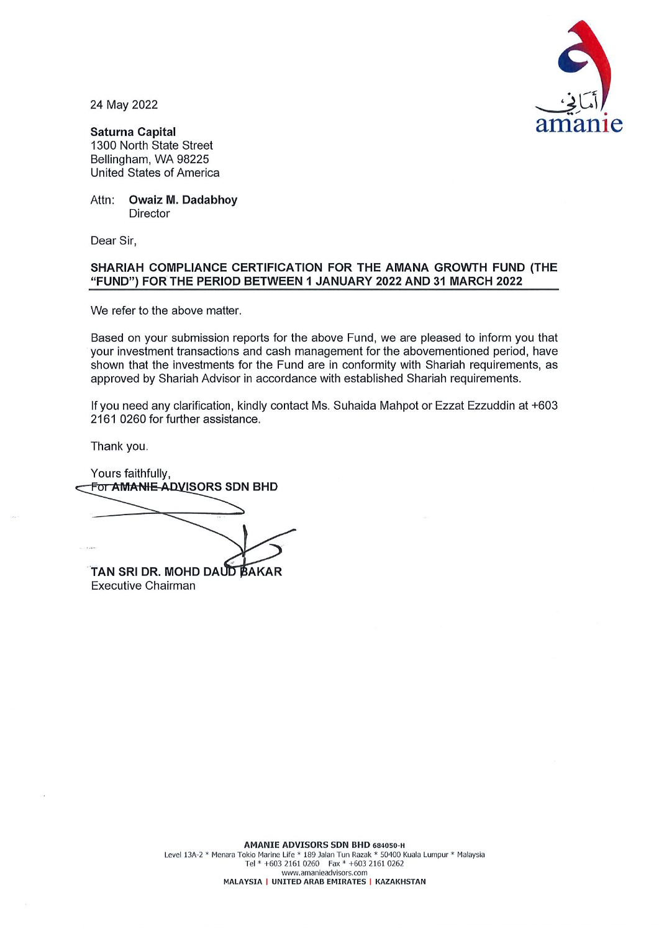

24 May 2022

**Saturna Capital** 1300 North State Street Bellingham, WA 98225 **United States of America** 

Attn: **Owaiz M. Dadabhoy Director** 

Dear Sir,

## SHARIAH COMPLIANCE CERTIFICATION FOR THE AMANA GROWTH FUND (THE "FUND") FOR THE PERIOD BETWEEN 1 JANUARY 2022 AND 31 MARCH 2022

We refer to the above matter.

Based on your submission reports for the above Fund, we are pleased to inform you that your investment transactions and cash management for the abovementioned period, have shown that the investments for the Fund are in conformity with Shariah requirements, as approved by Shariah Advisor in accordance with established Shariah requirements.

If you need any clarification, kindly contact Ms. Suhaida Mahpot or Ezzat Ezzuddin at +603 2161 0260 for further assistance.

Thank you.

Yours faithfully, For AMANIE ADVISORS SDN BHD TAN SRI DR. MOHD DAUD BAKAR

**Executive Chairman**